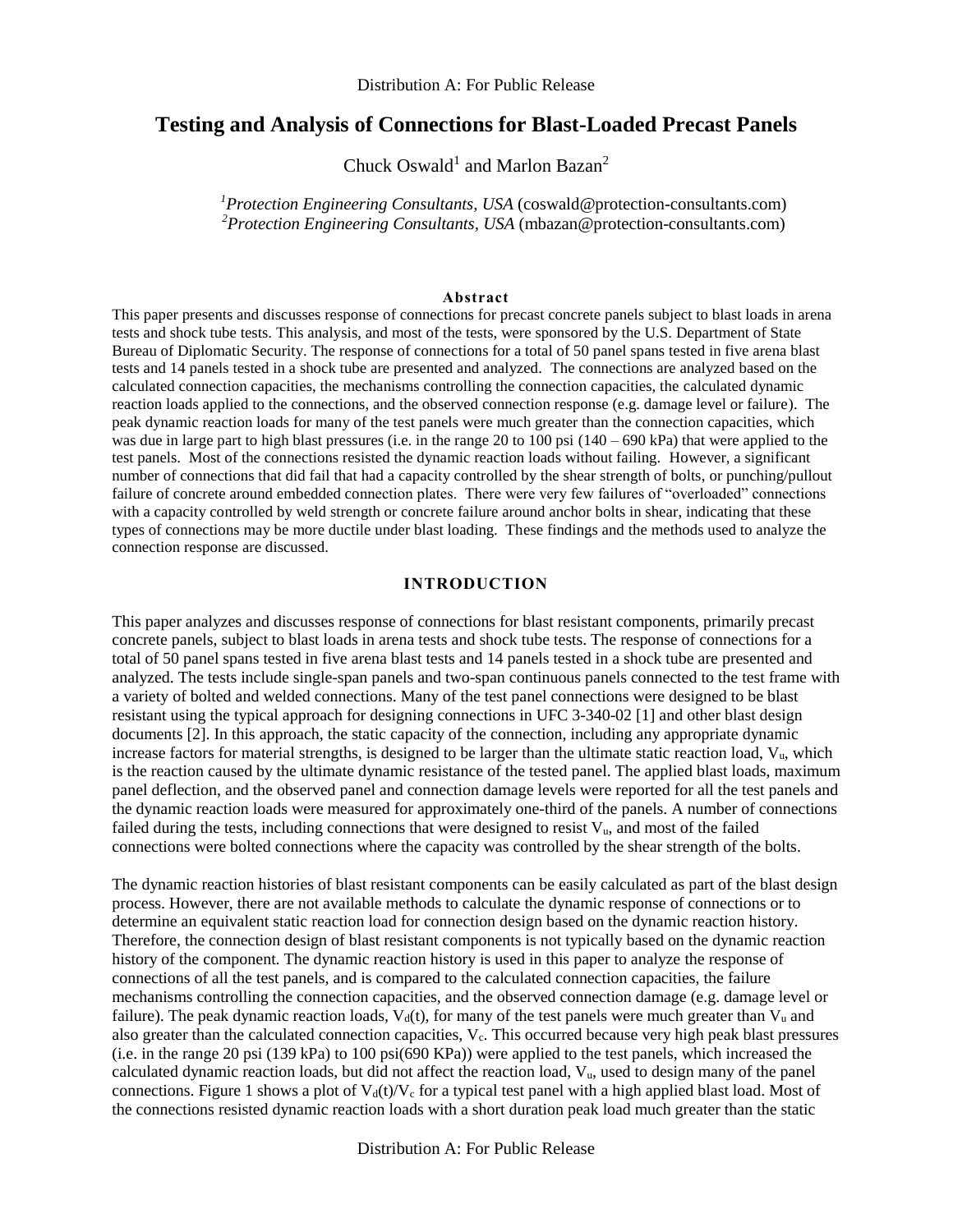# **Testing and Analysis of Connections for Blast-Loaded Precast Panels**

Chuck Oswald<sup>1</sup> and Marlon Bazan<sup>2</sup>

*<sup>1</sup>Protection Engineering Consultants, USA* (coswald@protection-consultants.com) <sup>2</sup>Protection Engineering Consultants, USA (mbazan@protection-consultants.com)

#### **Abstract**

This paper presents and discusses response of connections for precast concrete panels subject to blast loads in arena tests and shock tube tests. This analysis, and most of the tests, were sponsored by the U.S. Department of State Bureau of Diplomatic Security. The response of connections for a total of 50 panel spans tested in five arena blast tests and 14 panels tested in a shock tube are presented and analyzed. The connections are analyzed based on the calculated connection capacities, the mechanisms controlling the connection capacities, the calculated dynamic reaction loads applied to the connections, and the observed connection response (e.g. damage level or failure). The peak dynamic reaction loads for many of the test panels were much greater than the connection capacities, which was due in large part to high blast pressures (i.e. in the range 20 to 100 psi  $(140 - 690 \text{ kPa})$  that were applied to the test panels. Most of the connections resisted the dynamic reaction loads without failing. However, a significant number of connections that did fail that had a capacity controlled by the shear strength of bolts, or punching/pullout failure of concrete around embedded connection plates. There were very few failures of "overloaded" connections with a capacity controlled by weld strength or concrete failure around anchor bolts in shear, indicating that these types of connections may be more ductile under blast loading. These findings and the methods used to analyze the connection response are discussed.

#### **INTRODUCTION**

This paper analyzes and discusses response of connections for blast resistant components, primarily precast concrete panels, subject to blast loads in arena tests and shock tube tests. The response of connections for a total of 50 panel spans tested in five arena blast tests and 14 panels tested in a shock tube are presented and analyzed. The tests include single-span panels and two-span continuous panels connected to the test frame with a variety of bolted and welded connections. Many of the test panel connections were designed to be blast resistant using the typical approach for designing connections in UFC 3-340-02 [1] and other blast design documents [2]. In this approach, the static capacity of the connection, including any appropriate dynamic increase factors for material strengths, is designed to be larger than the ultimate static reaction load, Vu, which is the reaction caused by the ultimate dynamic resistance of the tested panel. The applied blast loads, maximum panel deflection, and the observed panel and connection damage levels were reported for all the test panels and the dynamic reaction loads were measured for approximately one-third of the panels. A number of connections failed during the tests, including connections that were designed to resist Vu, and most of the failed connections were bolted connections where the capacity was controlled by the shear strength of the bolts.

The dynamic reaction histories of blast resistant components can be easily calculated as part of the blast design process. However, there are not available methods to calculate the dynamic response of connections or to determine an equivalent static reaction load for connection design based on the dynamic reaction history. Therefore, the connection design of blast resistant components is not typically based on the dynamic reaction history of the component. The dynamic reaction history is used in this paper to analyze the response of connections of all the test panels, and is compared to the calculated connection capacities, the failure mechanisms controlling the connection capacities, and the observed connection damage (e.g. damage level or failure). The peak dynamic reaction loads,  $V_d(t)$ , for many of the test panels were much greater than  $V_u$  and also greater than the calculated connection capacities,  $V_c$ . This occurred because very high peak blast pressures (i.e. in the range 20 psi (139 kPa) to 100 psi(690 KPa)) were applied to the test panels, which increased the calculated dynamic reaction loads, but did not affect the reaction load,  $V<sub>u</sub>$ , used to design many of the panel connections. [Figure 1](#page-1-0) shows a plot of  $V_d(t)/V_c$  for a typical test panel with a high applied blast load. Most of the connections resisted dynamic reaction loads with a short duration peak load much greater than the static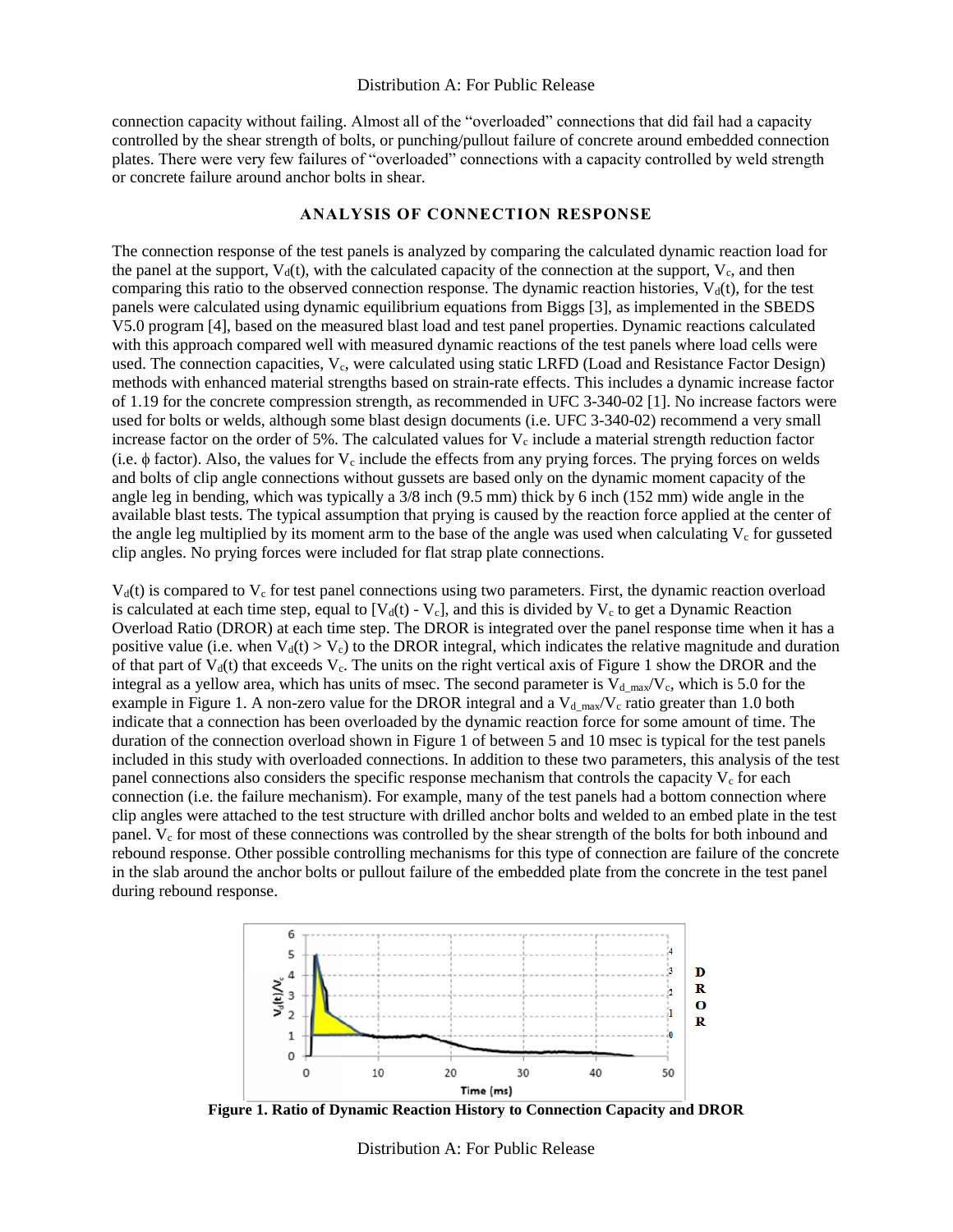connection capacity without failing. Almost all of the "overloaded" connections that did fail had a capacity controlled by the shear strength of bolts, or punching/pullout failure of concrete around embedded connection plates. There were very few failures of "overloaded" connections with a capacity controlled by weld strength or concrete failure around anchor bolts in shear.

#### **ANALYSIS OF CONNECTION RESPONSE**

The connection response of the test panels is analyzed by comparing the calculated dynamic reaction load for the panel at the support,  $V_d(t)$ , with the calculated capacity of the connection at the support,  $V_c$ , and then comparing this ratio to the observed connection response. The dynamic reaction histories,  $V<sub>d</sub>(t)$ , for the test panels were calculated using dynamic equilibrium equations from Biggs [3], as implemented in the SBEDS V5.0 program [4], based on the measured blast load and test panel properties. Dynamic reactions calculated with this approach compared well with measured dynamic reactions of the test panels where load cells were used. The connection capacities,  $V_c$ , were calculated using static LRFD (Load and Resistance Factor Design) methods with enhanced material strengths based on strain-rate effects. This includes a dynamic increase factor of 1.19 for the concrete compression strength, as recommended in UFC 3-340-02 [1]. No increase factors were used for bolts or welds, although some blast design documents (i.e. UFC 3-340-02) recommend a very small increase factor on the order of 5%. The calculated values for  $V_c$  include a material strength reduction factor (i.e.  $\phi$  factor). Also, the values for  $V_c$  include the effects from any prying forces. The prying forces on welds and bolts of clip angle connections without gussets are based only on the dynamic moment capacity of the angle leg in bending, which was typically a 3/8 inch (9.5 mm) thick by 6 inch (152 mm) wide angle in the available blast tests. The typical assumption that prying is caused by the reaction force applied at the center of the angle leg multiplied by its moment arm to the base of the angle was used when calculating  $V_c$  for gusseted clip angles. No prying forces were included for flat strap plate connections.

 $V<sub>d</sub>(t)$  is compared to  $V<sub>c</sub>$  for test panel connections using two parameters. First, the dynamic reaction overload is calculated at each time step, equal to  $[V_d(t) - V_c]$ , and this is divided by  $V_c$  to get a Dynamic Reaction Overload Ratio (DROR) at each time step. The DROR is integrated over the panel response time when it has a positive value (i.e. when  $V_d(t) > V_c$ ) to the DROR integral, which indicates the relative magnitude and duration of that part of  $V<sub>d</sub>(t)$  that exceeds  $V<sub>c</sub>$ . The units on the right vertical axis of [Figure 1](#page-1-0) show the DROR and the integral as a yellow area, which has units of msec. The second parameter is  $V_{d\max}/V_c$ , which is 5.0 for the example in [Figure 1.](#page-1-0) A non-zero value for the DROR integral and a  $V_{d,max}/V_c$  ratio greater than 1.0 both indicate that a connection has been overloaded by the dynamic reaction force for some amount of time. The duration of the connection overload shown in [Figure 1](#page-1-0) of between 5 and 10 msec is typical for the test panels included in this study with overloaded connections. In addition to these two parameters, this analysis of the test panel connections also considers the specific response mechanism that controls the capacity  $V_c$  for each connection (i.e. the failure mechanism). For example, many of the test panels had a bottom connection where clip angles were attached to the test structure with drilled anchor bolts and welded to an embed plate in the test panel.  $V_c$  for most of these connections was controlled by the shear strength of the bolts for both inbound and rebound response. Other possible controlling mechanisms for this type of connection are failure of the concrete in the slab around the anchor bolts or pullout failure of the embedded plate from the concrete in the test panel during rebound response.



<span id="page-1-0"></span>**Figure 1. Ratio of Dynamic Reaction History to Connection Capacity and DROR** 

Distribution A: For Public Release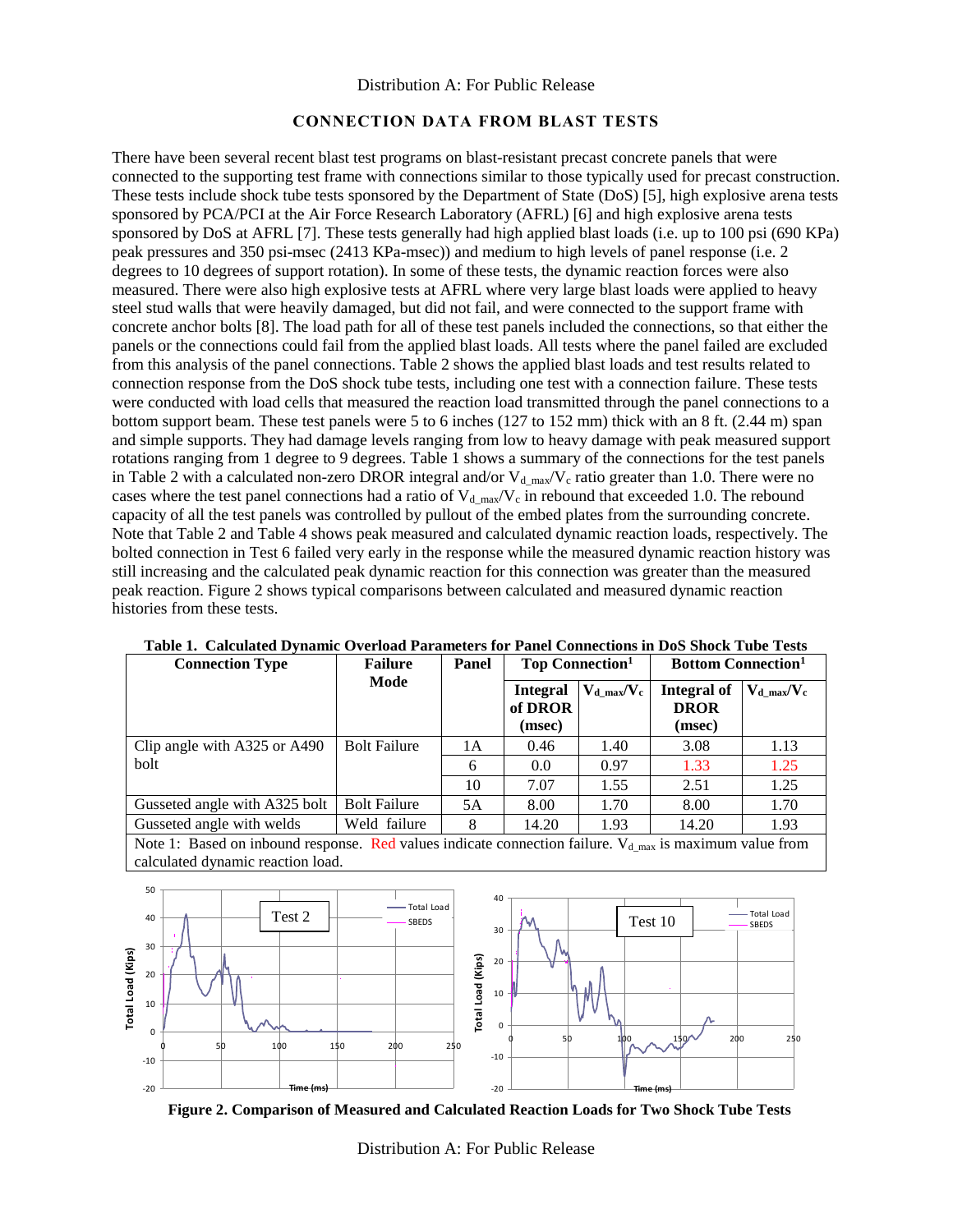### **CONNECTION DATA FROM BLAST TESTS**

There have been several recent blast test programs on blast-resistant precast concrete panels that were connected to the supporting test frame with connections similar to those typically used for precast construction. These tests include shock tube tests sponsored by the Department of State (DoS) [5], high explosive arena tests sponsored by PCA/PCI at the Air Force Research Laboratory (AFRL) [6] and high explosive arena tests sponsored by DoS at AFRL [7]. These tests generally had high applied blast loads (i.e. up to 100 psi (690 KPa) peak pressures and 350 psi-msec (2413 KPa-msec)) and medium to high levels of panel response (i.e. 2 degrees to 10 degrees of support rotation). In some of these tests, the dynamic reaction forces were also measured. There were also high explosive tests at AFRL where very large blast loads were applied to heavy steel stud walls that were heavily damaged, but did not fail, and were connected to the support frame with concrete anchor bolts [8]. The load path for all of these test panels included the connections, so that either the panels or the connections could fail from the applied blast loads. All tests where the panel failed are excluded from this analysis of the panel connections. [Table 2](#page-3-0) shows the applied blast loads and test results related to connection response from the DoS shock tube tests, including one test with a connection failure. These tests were conducted with load cells that measured the reaction load transmitted through the panel connections to a bottom support beam. These test panels were 5 to 6 inches (127 to 152 mm) thick with an 8 ft. (2.44 m) span and simple supports. They had damage levels ranging from low to heavy damage with peak measured support rotations ranging from 1 degree to 9 degrees. Table 1 shows a summary of the connections for the test panels in [Table 2](#page-3-0) with a calculated non-zero DROR integral and/or  $V_{d_{max}}/V_c$  ratio greater than 1.0. There were no cases where the test panel connections had a ratio of  $V_{d,max}/V_c$  in rebound that exceeded 1.0. The rebound capacity of all the test panels was controlled by pullout of the embed plates from the surrounding concrete. Note that [Table 2](#page-3-0) and Table 4 shows peak measured and calculated dynamic reaction loads, respectively. The bolted connection in Test 6 failed very early in the response while the measured dynamic reaction history was still increasing and the calculated peak dynamic reaction for this connection was greater than the measured peak reaction[. Figure 2](#page-2-0) shows typical comparisons between calculated and measured dynamic reaction histories from these tests.

| <b>Connection Type</b>        | <b>Failure</b>      | Panel | <b>Top Connection</b> <sup>1</sup>   |                  | <b>Bottom Connection</b> <sup>1</sup> |                  |  |
|-------------------------------|---------------------|-------|--------------------------------------|------------------|---------------------------------------|------------------|--|
|                               | Mode                |       | <b>Integral</b><br>of DROR<br>(msec) | $V_d$ max/ $V_c$ | Integral of<br><b>DROR</b><br>(msec)  | $V_{d\_max}/V_c$ |  |
| Clip angle with A325 or A490  | <b>Bolt Failure</b> | 1Α    | 0.46                                 | 1.40             | 3.08                                  | 1.13             |  |
| bolt                          |                     | 6     | 0.0                                  | 0.97             | 1.33                                  | 1.25             |  |
|                               |                     | 10    | 7.07                                 | 1.55             | 2.51                                  | 1.25             |  |
| Gusseted angle with A325 bolt | <b>Bolt Failure</b> | 5A    | 8.00                                 | 1.70             | 8.00                                  | 1.70             |  |
| Gusseted angle with welds     | Weld failure        | 8     | 14.20                                | 1.93             | 14.20                                 | 1.93             |  |

| Table 1. Calculated Dynamic Overload Parameters for Panel Connections in DoS Shock Tube Tests |  |  |  |  |  |
|-----------------------------------------------------------------------------------------------|--|--|--|--|--|
|-----------------------------------------------------------------------------------------------|--|--|--|--|--|

Note 1: Based on inbound response. Red values indicate connection failure.  $V_{d,max}$  is maximum value from calculated dynamic reaction load.



<span id="page-2-0"></span>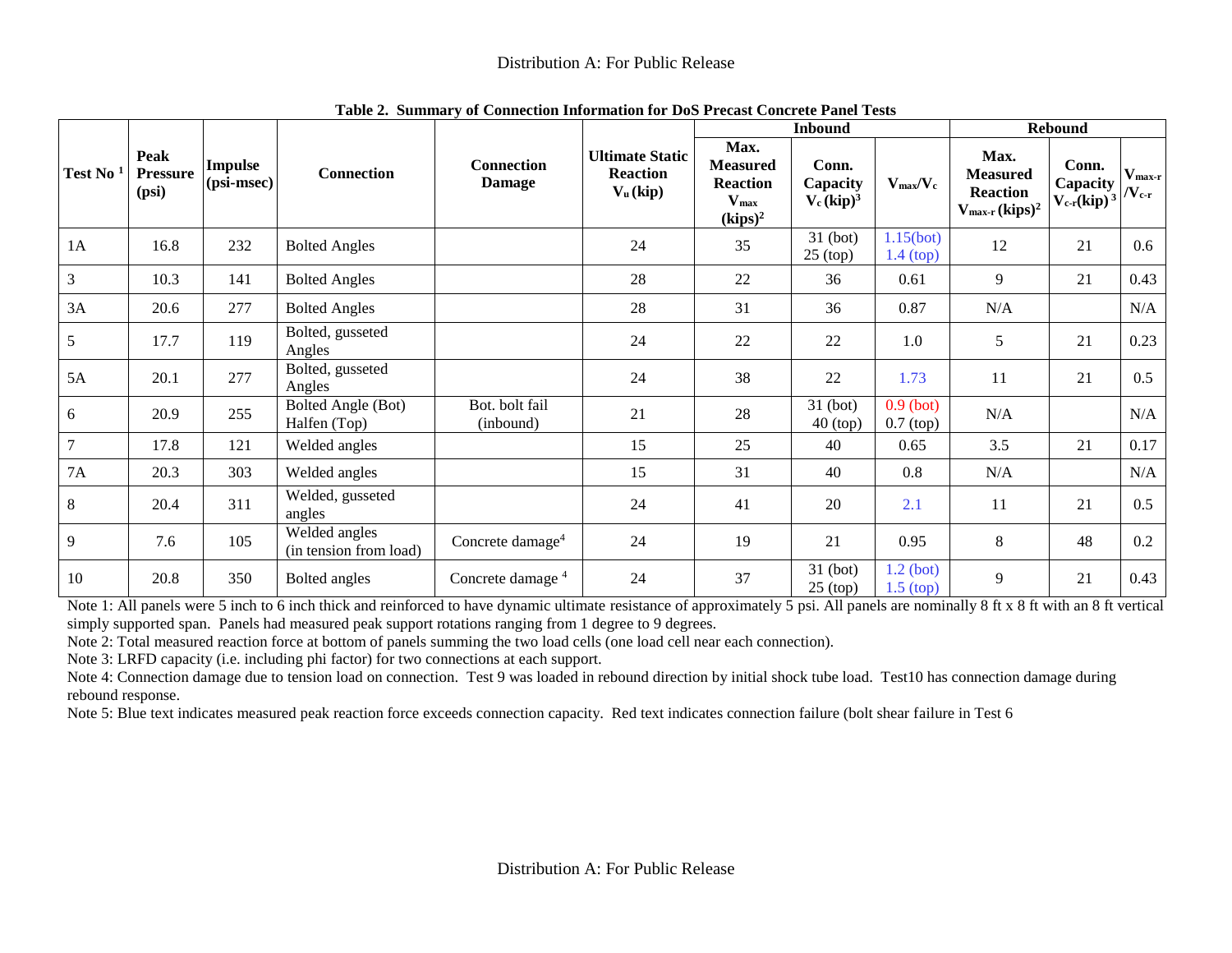|                      |                                  |                                |                                         |                                    |                                                         |                                                                              | <b>Inbound</b>                     |                            |                                                                                   | <b>Rebound</b>                                    |                                      |
|----------------------|----------------------------------|--------------------------------|-----------------------------------------|------------------------------------|---------------------------------------------------------|------------------------------------------------------------------------------|------------------------------------|----------------------------|-----------------------------------------------------------------------------------|---------------------------------------------------|--------------------------------------|
| Test No <sup>1</sup> | Peak<br><b>Pressure</b><br>(psi) | <b>Impulse</b><br>$(psi-msec)$ | <b>Connection</b>                       | <b>Connection</b><br><b>Damage</b> | <b>Ultimate Static</b><br><b>Reaction</b><br>$V_u(kip)$ | Max.<br><b>Measured</b><br><b>Reaction</b><br>$V_{\text{max}}$<br>$(kips)^2$ | Conn.<br>Capacity<br>$V_c (kip)^3$ | $V_{max}/V_c$              | Max.<br><b>Measured</b><br><b>Reaction</b><br>$V_{\rm max-r}$ (kips) <sup>2</sup> | Conn.<br>Capacity<br>$V_{c r}$ (kip) <sup>3</sup> | $V_{\text{max-r}}$<br>$/\rm V_{c-r}$ |
| 1A                   | 16.8                             | 232                            | <b>Bolted Angles</b>                    |                                    | 24                                                      | 35                                                                           | $31$ (bot)<br>$25$ (top)           | 1.15(bot)<br>$1.4$ (top)   | 12                                                                                | 21                                                | $0.6\,$                              |
| 3                    | 10.3                             | 141                            | <b>Bolted Angles</b>                    |                                    | 28                                                      | 22                                                                           | 36                                 | 0.61                       | 9                                                                                 | 21                                                | 0.43                                 |
| 3A                   | 20.6                             | 277                            | <b>Bolted Angles</b>                    |                                    | 28                                                      | 31                                                                           | 36                                 | 0.87                       | N/A                                                                               |                                                   | N/A                                  |
| 5                    | 17.7                             | 119                            | Bolted, gusseted<br>Angles              |                                    | 24                                                      | 22                                                                           | 22                                 | 1.0                        | 5                                                                                 | 21                                                | 0.23                                 |
| 5A                   | 20.1                             | 277                            | Bolted, gusseted<br>Angles              |                                    | 24                                                      | 38                                                                           | 22                                 | 1.73                       | 11                                                                                | 21                                                | 0.5                                  |
| 6                    | 20.9                             | 255                            | Bolted Angle (Bot)<br>Halfen (Top)      | Bot. bolt fail<br>(inbound)        | 21                                                      | 28                                                                           | 31 (bot)<br>$40$ (top)             | $0.9$ (bot)<br>$0.7$ (top) | N/A                                                                               |                                                   | N/A                                  |
| $\tau$               | 17.8                             | 121                            | Welded angles                           |                                    | 15                                                      | 25                                                                           | 40                                 | 0.65                       | 3.5                                                                               | 21                                                | 0.17                                 |
| 7A                   | 20.3                             | 303                            | Welded angles                           |                                    | 15                                                      | 31                                                                           | 40                                 | 0.8                        | N/A                                                                               |                                                   | N/A                                  |
| 8                    | 20.4                             | 311                            | Welded, gusseted<br>angles              |                                    | 24                                                      | 41                                                                           | 20                                 | 2.1                        | 11                                                                                | 21                                                | 0.5                                  |
| 9                    | 7.6                              | 105                            | Welded angles<br>(in tension from load) | Concrete damage <sup>4</sup>       | 24                                                      | 19                                                                           | 21                                 | 0.95                       | 8                                                                                 | 48                                                | 0.2                                  |
| 10                   | 20.8                             | 350                            | Bolted angles                           | Concrete damage <sup>4</sup>       | 24                                                      | 37                                                                           | 31 (bot)<br>$25$ (top)             | $1.2$ (bot)<br>$1.5$ (top) | 9                                                                                 | 21                                                | 0.43                                 |

**Table 2. Summary of Connection Information for DoS Precast Concrete Panel Tests**

<span id="page-3-1"></span><span id="page-3-0"></span>Note 1: All panels were 5 inch to 6 inch thick and reinforced to have dynamic ultimate resistance of approximately 5 psi. All panels are nominally 8 ft x 8 ft with an 8 ft vertical simply supported span. Panels had measured peak support rotations ranging from 1 degree to 9 degrees.

Note 2: Total measured reaction force at bottom of panels summing the two load cells (one load cell near each connection).

Note 3: LRFD capacity (i.e. including phi factor) for two connections at each support.

Note 4: Connection damage due to tension load on connection. Test 9 was loaded in rebound direction by initial shock tube load. Test10 has connection damage during rebound response.

Note 5: Blue text indicates measured peak reaction force exceeds connection capacity. Red text indicates connection failure (bolt shear failure in Test 6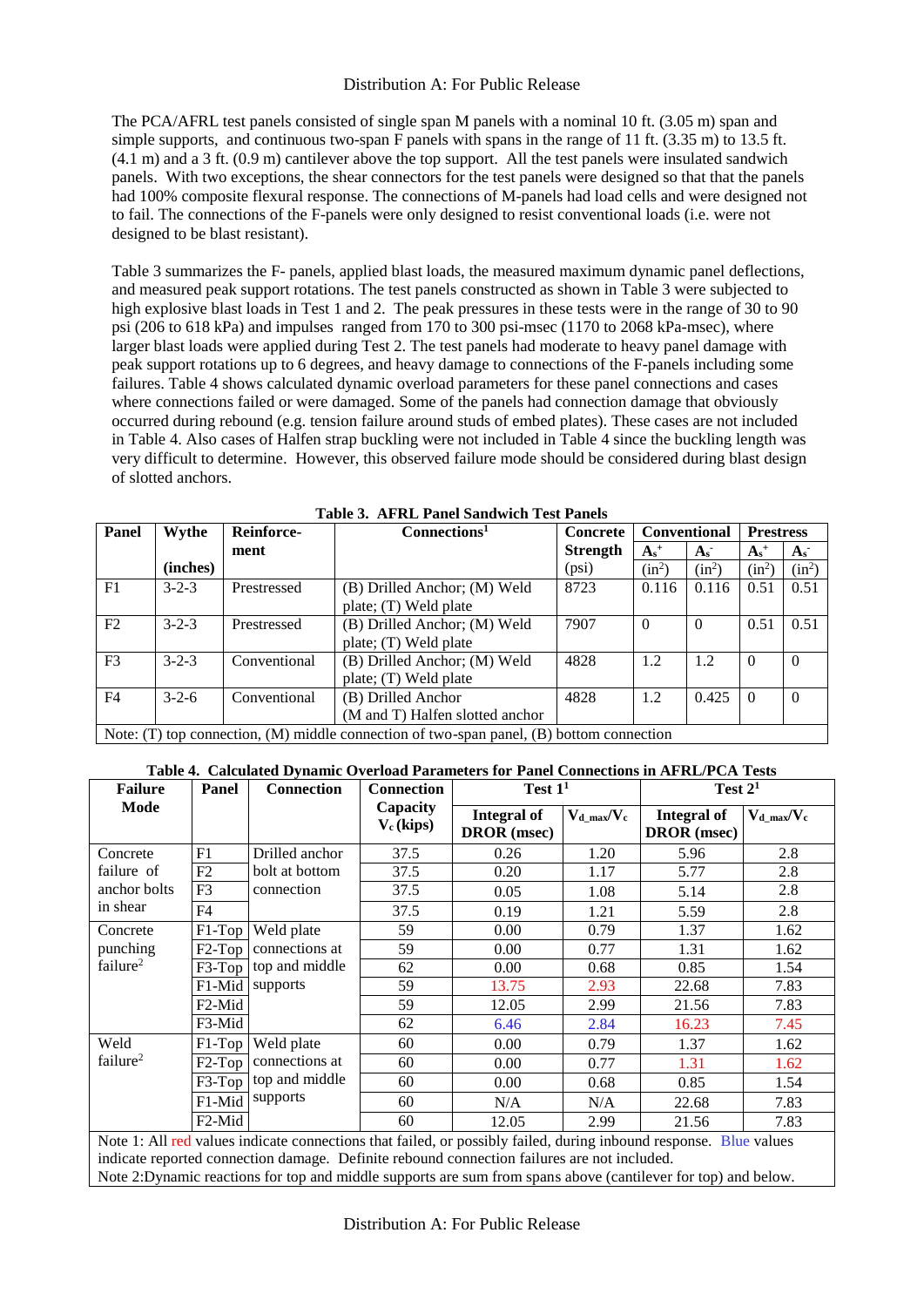The PCA/AFRL test panels consisted of single span M panels with a nominal 10 ft. (3.05 m) span and simple supports, and continuous two-span F panels with spans in the range of 11 ft. (3.35 m) to 13.5 ft. (4.1 m) and a 3 ft. (0.9 m) cantilever above the top support. All the test panels were insulated sandwich panels. With two exceptions, the shear connectors for the test panels were designed so that that the panels had 100% composite flexural response. The connections of M-panels had load cells and were designed not to fail. The connections of the F-panels were only designed to resist conventional loads (i.e. were not designed to be blast resistant).

[Table 3](#page-4-0) summarizes the F- panels, applied blast loads, the measured maximum dynamic panel deflections, and measured peak support rotations. The test panels constructed as shown in [Table 3](#page-4-0) were subjected to high explosive blast loads in Test 1 and 2. The peak pressures in these tests were in the range of 30 to 90 psi (206 to 618 kPa) and impulses ranged from 170 to 300 psi-msec (1170 to 2068 kPa-msec), where larger blast loads were applied during Test 2. The test panels had moderate to heavy panel damage with peak support rotations up to 6 degrees, and heavy damage to connections of the F-panels including some failures. Table 4 shows calculated dynamic overload parameters for these panel connections and cases where connections failed or were damaged. Some of the panels had connection damage that obviously occurred during rebound (e.g. tension failure around studs of embed plates). These cases are not included in Table 4. Also cases of Halfen strap buckling were not included in Table 4 since the buckling length was very difficult to determine. However, this observed failure mode should be considered during blast design of slotted anchors.

<span id="page-4-0"></span>

| Panel          | Wythe       | <b>Reinforce-</b> | Connections <sup>1</sup>                                                                       | <b>Concrete</b> | <b>Conventional</b> |          | <b>Prestress</b> |          |
|----------------|-------------|-------------------|------------------------------------------------------------------------------------------------|-----------------|---------------------|----------|------------------|----------|
|                |             | ment              |                                                                                                | <b>Strength</b> | $A_s^+$             | $A_{s}$  |                  | $A_{s}$  |
|                | (inches)    |                   |                                                                                                | (psi)           | $(in^2)$            | $(in^2)$ | $(in^2)$         | $(in^2)$ |
| F1             | $3 - 2 - 3$ | Prestressed       | (B) Drilled Anchor; (M) Weld                                                                   | 8723            | 0.116               | 0.116    | 0.51             | 0.51     |
|                |             |                   | plate; (T) Weld plate                                                                          |                 |                     |          |                  |          |
| F2             | $3 - 2 - 3$ | Prestressed       | (B) Drilled Anchor; (M) Weld                                                                   | 7907            | $\theta$            | $\Omega$ | 0.51             | 0.51     |
|                |             |                   | plate; (T) Weld plate                                                                          |                 |                     |          |                  |          |
| F <sub>3</sub> | $3 - 2 - 3$ | Conventional      | (B) Drilled Anchor; (M) Weld                                                                   | 4828            | 1.2                 | 1.2      | $\Omega$         | $\theta$ |
|                |             |                   | plate; (T) Weld plate                                                                          |                 |                     |          |                  |          |
| F4             | $3 - 2 - 6$ | Conventional      | (B) Drilled Anchor                                                                             | 4828            | 1.2                 | 0.425    |                  | $\Omega$ |
|                |             |                   | (M and T) Halfen slotted anchor                                                                |                 |                     |          |                  |          |
|                |             |                   | Note: $(T)$ top connection, $(M)$ middle connection of two-span panel, $(B)$ bottom connection |                 |                     |          |                  |          |

**Table 3. AFRL Panel Sandwich Test Panels**

# **Table 4. Calculated Dynamic Overload Parameters for Panel Connections in AFRL/PCA Tests**

| <b>Failure</b>       | Panel               | <b>Connection</b>                                                                                                                                                                                                | Test $11$                | Test $21$                         |                  |                                   |                  |
|----------------------|---------------------|------------------------------------------------------------------------------------------------------------------------------------------------------------------------------------------------------------------|--------------------------|-----------------------------------|------------------|-----------------------------------|------------------|
| Mode                 |                     |                                                                                                                                                                                                                  | Capacity<br>$V_c$ (kips) | Integral of<br><b>DROR</b> (msec) | $V_d$ max/ $V_c$ | Integral of<br><b>DROR</b> (msec) | $V_{d\_max}/V_c$ |
| Concrete             | F1                  | Drilled anchor                                                                                                                                                                                                   | 37.5                     | 0.26                              | 1.20             | 5.96                              | 2.8              |
| failure of           | F2                  | bolt at bottom                                                                                                                                                                                                   | 37.5                     | 0.20                              | 1.17             | 5.77                              | 2.8              |
| anchor bolts         | F <sub>3</sub>      | connection                                                                                                                                                                                                       | 37.5                     | 0.05                              | 1.08             | 5.14                              | 2.8              |
| in shear             | F <sub>4</sub>      |                                                                                                                                                                                                                  | 37.5                     | 0.19                              | 1.21             | 5.59                              | 2.8              |
| Concrete             | $F1-Top$            | Weld plate                                                                                                                                                                                                       | 59                       | 0.00                              | 0.79             | 1.37                              | 1.62             |
| punching             | F <sub>2</sub> -Top | connections at                                                                                                                                                                                                   | 59                       | 0.00                              | 0.77             | 1.31                              | 1.62             |
| failure <sup>2</sup> |                     | F3-Top top and middle                                                                                                                                                                                            | 62                       | 0.00                              | 0.68             | 0.85                              | 1.54             |
|                      | $F1$ -Mid           | supports                                                                                                                                                                                                         | 59                       | 13.75                             | 2.93             | 22.68                             | 7.83             |
|                      | F2-Mid              |                                                                                                                                                                                                                  | 59                       | 12.05                             | 2.99             | 21.56                             | 7.83             |
|                      | F3-Mid              |                                                                                                                                                                                                                  | 62                       | 6.46                              | 2.84             | 16.23                             | 7.45             |
| Weld                 | $F1-Top$            | Weld plate                                                                                                                                                                                                       | 60                       | 0.00                              | 0.79             | 1.37                              | 1.62             |
| failure <sup>2</sup> | $F2-Top$            | connections at                                                                                                                                                                                                   | 60                       | 0.00                              | 0.77             | 1.31                              | 1.62             |
|                      | $F3-Top$            | top and middle                                                                                                                                                                                                   | 60                       | 0.00                              | 0.68             | 0.85                              | 1.54             |
|                      | F1-Mid              | supports                                                                                                                                                                                                         | 60                       | N/A                               | N/A              | 22.68                             | 7.83             |
|                      | F <sub>2</sub> -Mid |                                                                                                                                                                                                                  | 60                       | 12.05                             | 2.99             | 21.56                             | 7.83             |
|                      |                     | Note 1: All red values indicate connections that failed, or possibly failed, during inbound response. Blue values<br>indicate reported connection damage. Definite rebound connection failures are not included. |                          |                                   |                  |                                   |                  |

Note 2:Dynamic reactions for top and middle supports are sum from spans above (cantilever for top) and below.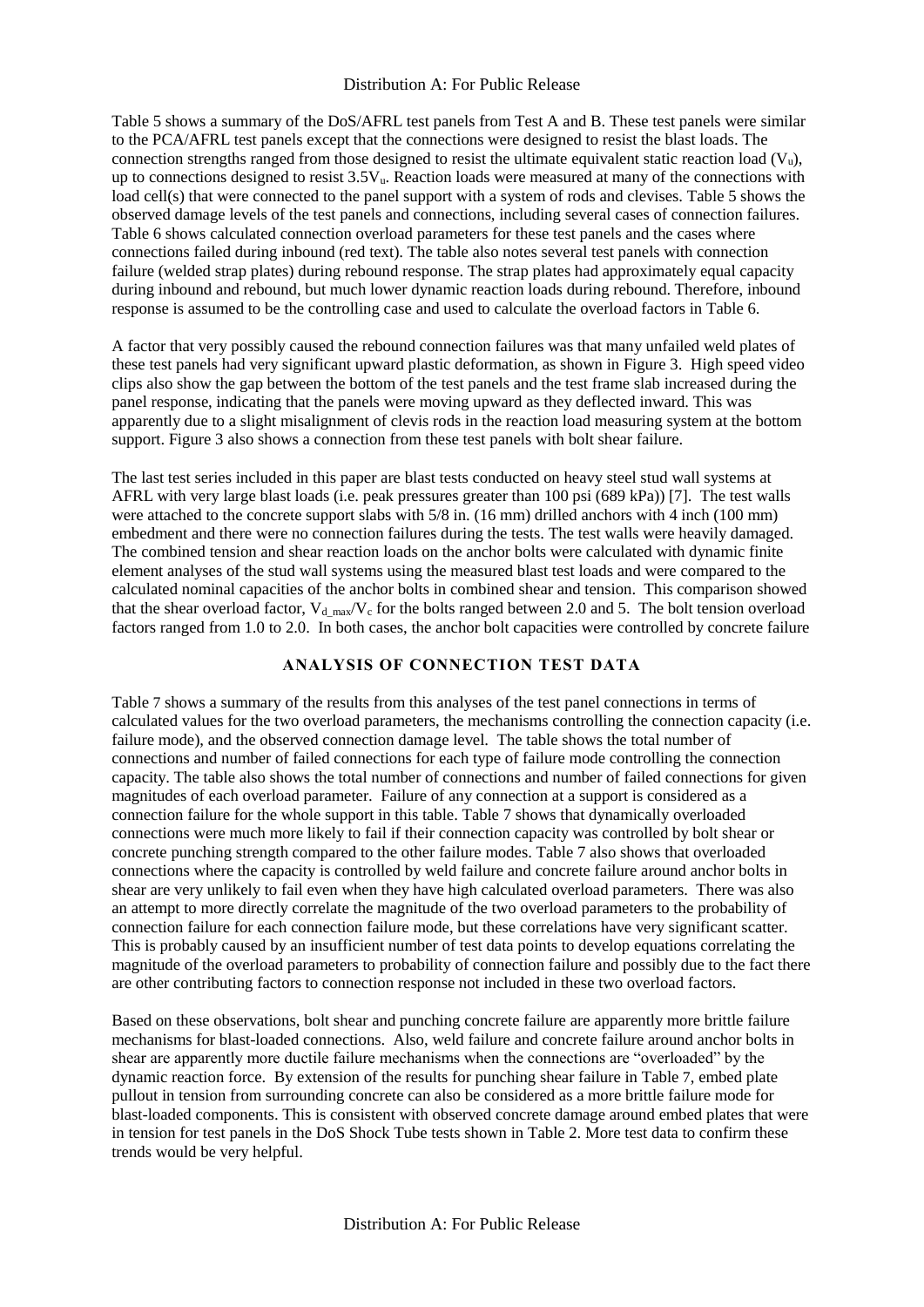[Table 5](#page-6-0) shows a summary of the DoS/AFRL test panels from Test A and B. These test panels were similar to the PCA/AFRL test panels except that the connections were designed to resist the blast loads. The connection strengths ranged from those designed to resist the ultimate equivalent static reaction load  $(V<sub>u</sub>)$ , up to connections designed to resist  $3.5V<sub>u</sub>$ . Reaction loads were measured at many of the connections with load cell(s) that were connected to the panel support with a system of rods and clevises[. Table 5](#page-6-0) shows the observed damage levels of the test panels and connections, including several cases of connection failures. [Table 6](#page-7-0) shows calculated connection overload parameters for these test panels and the cases where connections failed during inbound (red text). The table also notes several test panels with connection failure (welded strap plates) during rebound response. The strap plates had approximately equal capacity during inbound and rebound, but much lower dynamic reaction loads during rebound. Therefore, inbound response is assumed to be the controlling case and used to calculate the overload factors in [Table 6.](#page-7-0)

A factor that very possibly caused the rebound connection failures was that many unfailed weld plates of these test panels had very significant upward plastic deformation, as shown in [Figure 3.](#page-7-1) High speed video clips also show the gap between the bottom of the test panels and the test frame slab increased during the panel response, indicating that the panels were moving upward as they deflected inward. This was apparently due to a slight misalignment of clevis rods in the reaction load measuring system at the bottom support[. Figure 3](#page-7-1) also shows a connection from these test panels with bolt shear failure.

The last test series included in this paper are blast tests conducted on heavy steel stud wall systems at AFRL with very large blast loads (i.e. peak pressures greater than 100 psi (689 kPa)) [7]. The test walls were attached to the concrete support slabs with 5/8 in. (16 mm) drilled anchors with 4 inch (100 mm) embedment and there were no connection failures during the tests. The test walls were heavily damaged. The combined tension and shear reaction loads on the anchor bolts were calculated with dynamic finite element analyses of the stud wall systems using the measured blast test loads and were compared to the calculated nominal capacities of the anchor bolts in combined shear and tension. This comparison showed that the shear overload factor,  $V_{d,max}/V_c$  for the bolts ranged between 2.0 and 5. The bolt tension overload factors ranged from 1.0 to 2.0. In both cases, the anchor bolt capacities were controlled by concrete failure

# **ANALYSIS OF CONNECTION TEST DATA**

[Table](#page-8-0) 7 shows a summary of the results from this analyses of the test panel connections in terms of calculated values for the two overload parameters, the mechanisms controlling the connection capacity (i.e. failure mode), and the observed connection damage level. The table shows the total number of connections and number of failed connections for each type of failure mode controlling the connection capacity. The table also shows the total number of connections and number of failed connections for given magnitudes of each overload parameter. Failure of any connection at a support is considered as a connection failure for the whole support in this table. [Table 7](#page-8-0) shows that dynamically overloaded connections were much more likely to fail if their connection capacity was controlled by bolt shear or concrete punching strength compared to the other failure modes. [Table 7](#page-8-0) also shows that overloaded connections where the capacity is controlled by weld failure and concrete failure around anchor bolts in shear are very unlikely to fail even when they have high calculated overload parameters. There was also an attempt to more directly correlate the magnitude of the two overload parameters to the probability of connection failure for each connection failure mode, but these correlations have very significant scatter. This is probably caused by an insufficient number of test data points to develop equations correlating the magnitude of the overload parameters to probability of connection failure and possibly due to the fact there are other contributing factors to connection response not included in these two overload factors.

Based on these observations, bolt shear and punching concrete failure are apparently more brittle failure mechanisms for blast-loaded connections. Also, weld failure and concrete failure around anchor bolts in shear are apparently more ductile failure mechanisms when the connections are "overloaded" by the dynamic reaction force. By extension of the results for punching shear failure in [Table](#page-8-0) 7, embed plate pullout in tension from surrounding concrete can also be considered as a more brittle failure mode for blast-loaded components. This is consistent with observed concrete damage around embed plates that were in tension for test panels in the DoS Shock Tube tests shown in [Table 2.](#page-3-1) More test data to confirm these trends would be very helpful.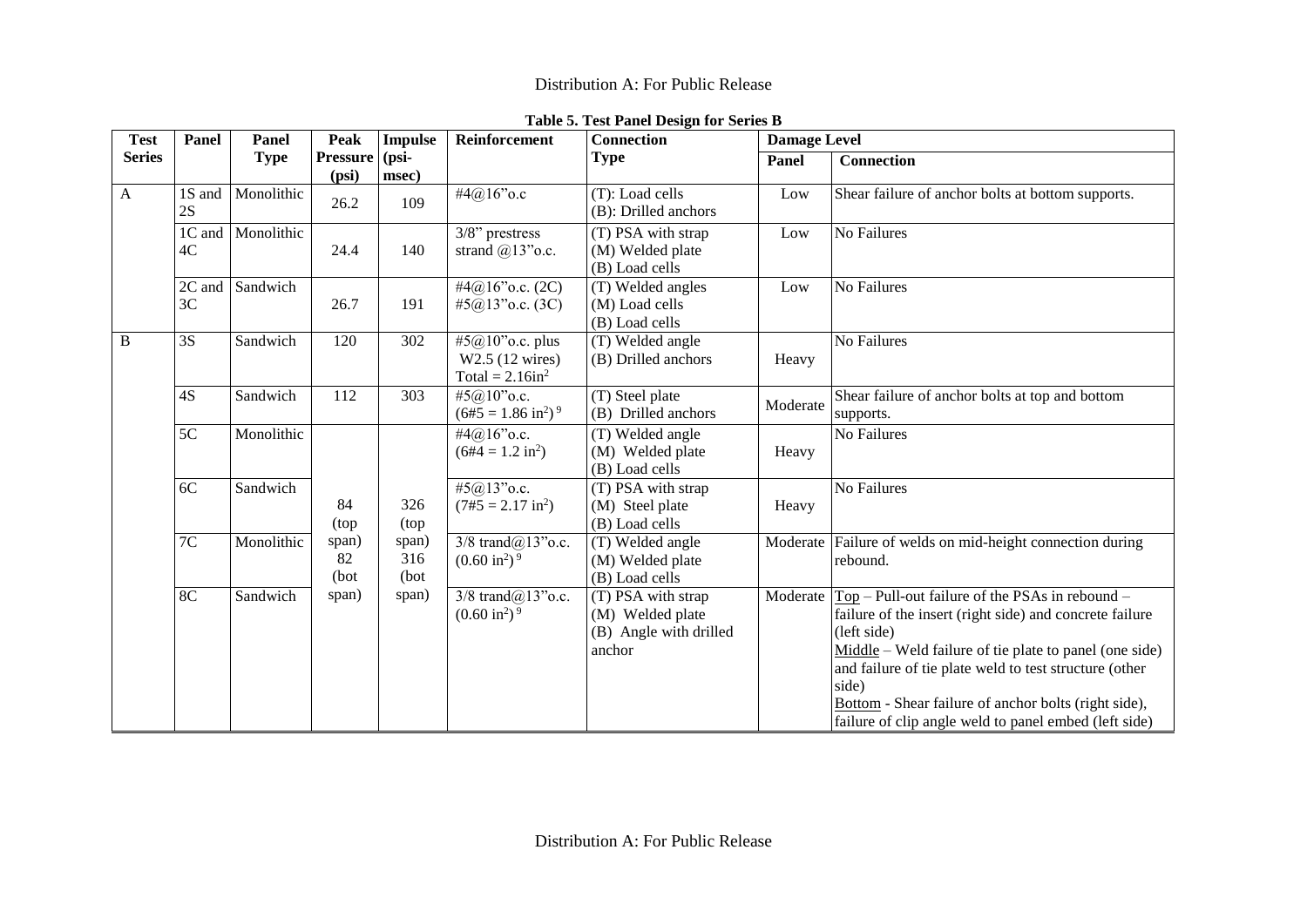<span id="page-6-0"></span>

| <b>Test</b>   | Panel                    | Panel       | <b>Peak</b>                                   | <b>Impulse</b> | Reinforcement                                                         | <b>Connection</b>                                                          | <b>Damage Level</b> |                                                                                                                                                                                                                                                                                                                                                                            |                                                        |          |                                                              |
|---------------|--------------------------|-------------|-----------------------------------------------|----------------|-----------------------------------------------------------------------|----------------------------------------------------------------------------|---------------------|----------------------------------------------------------------------------------------------------------------------------------------------------------------------------------------------------------------------------------------------------------------------------------------------------------------------------------------------------------------------------|--------------------------------------------------------|----------|--------------------------------------------------------------|
| <b>Series</b> |                          | <b>Type</b> | <b>Pressure</b> ( $psi$ )<br>(psi)            | msec)          |                                                                       | <b>Type</b>                                                                | Panel               | <b>Connection</b>                                                                                                                                                                                                                                                                                                                                                          |                                                        |          |                                                              |
| $\mathbf{A}$  | 1S and<br>2S             | Monolithic  | 26.2                                          | 109            | #4@16"o.c                                                             | (T): Load cells<br>(B): Drilled anchors                                    | Low                 | Shear failure of anchor bolts at bottom supports.                                                                                                                                                                                                                                                                                                                          |                                                        |          |                                                              |
|               | 1C and<br>4C             | Monolithic  | 24.4                                          | 140            | $3/8$ " prestress<br>strand $@13"$ o.c.                               | (T) PSA with strap<br>(M) Welded plate<br>(B) Load cells                   | Low                 | No Failures                                                                                                                                                                                                                                                                                                                                                                |                                                        |          |                                                              |
|               | 2C and<br>3 <sub>C</sub> | Sandwich    | 26.7                                          | 191            | #4@16" o.c. $(2C)$<br>#5@13" o.c. $(3C)$                              | (T) Welded angles<br>(M) Load cells<br>(B) Load cells                      | Low                 | No Failures                                                                                                                                                                                                                                                                                                                                                                |                                                        |          |                                                              |
| B             | 3S                       | Sandwich    | 120                                           | 302            | #5@10" o.c. plus<br>W2.5 (12 wires)<br>Total = $2.16$ in <sup>2</sup> | (T) Welded angle<br>(B) Drilled anchors                                    | Heavy               | No Failures                                                                                                                                                                                                                                                                                                                                                                |                                                        |          |                                                              |
|               | 4S                       | Sandwich    | 112                                           | 303            | #5@10"o.c.<br>$(6#5 = 1.86 \text{ in}^2)^9$                           | (T) Steel plate<br>(B) Drilled anchors                                     | Moderate            | Shear failure of anchor bolts at top and bottom<br>supports.                                                                                                                                                                                                                                                                                                               |                                                        |          |                                                              |
|               | 5C                       | Monolithic  |                                               |                | #4@16" o.c.<br>$(6#4 = 1.2 \text{ in}^2)$                             | (T) Welded angle<br>(M) Welded plate<br>(B) Load cells                     | Heavy               | No Failures                                                                                                                                                                                                                                                                                                                                                                |                                                        |          |                                                              |
|               | 6C                       | Sandwich    | 84<br>(top                                    | 326<br>(top    | #5@13" o.c.<br>$(7#5 = 2.17 \text{ in}^2)$                            | (T) PSA with strap<br>(M) Steel plate<br>(B) Load cells                    | Heavy               | No Failures                                                                                                                                                                                                                                                                                                                                                                |                                                        |          |                                                              |
|               | 7C                       | Monolithic  | span)<br>span)<br>82<br>316<br>(bot)<br>(bot) |                |                                                                       |                                                                            |                     | $3/8$ trand $@13"$ o.c.<br>$(0.60 \text{ in}^2)$ <sup>9</sup>                                                                                                                                                                                                                                                                                                              | (T) Welded angle<br>(M) Welded plate<br>(B) Load cells | Moderate | Failure of welds on mid-height connection during<br>rebound. |
|               | 8 <sup>C</sup>           | Sandwich    | span)                                         | span)          | $3/8$ trand $(a)$ 13" $o.c.$<br>$(0.60 \text{ in}^2)$ <sup>9</sup>    | (T) PSA with strap<br>(M) Welded plate<br>(B) Angle with drilled<br>anchor | Moderate            | $Top - Pull-out failure of the PSAs in rebound -$<br>failure of the insert (right side) and concrete failure<br>(left side)<br>$Midde$ – Weld failure of tie plate to panel (one side)<br>and failure of tie plate weld to test structure (other<br>side)<br>Bottom - Shear failure of anchor bolts (right side),<br>failure of clip angle weld to panel embed (left side) |                                                        |          |                                                              |

# **Table 5. Test Panel Design for Series B**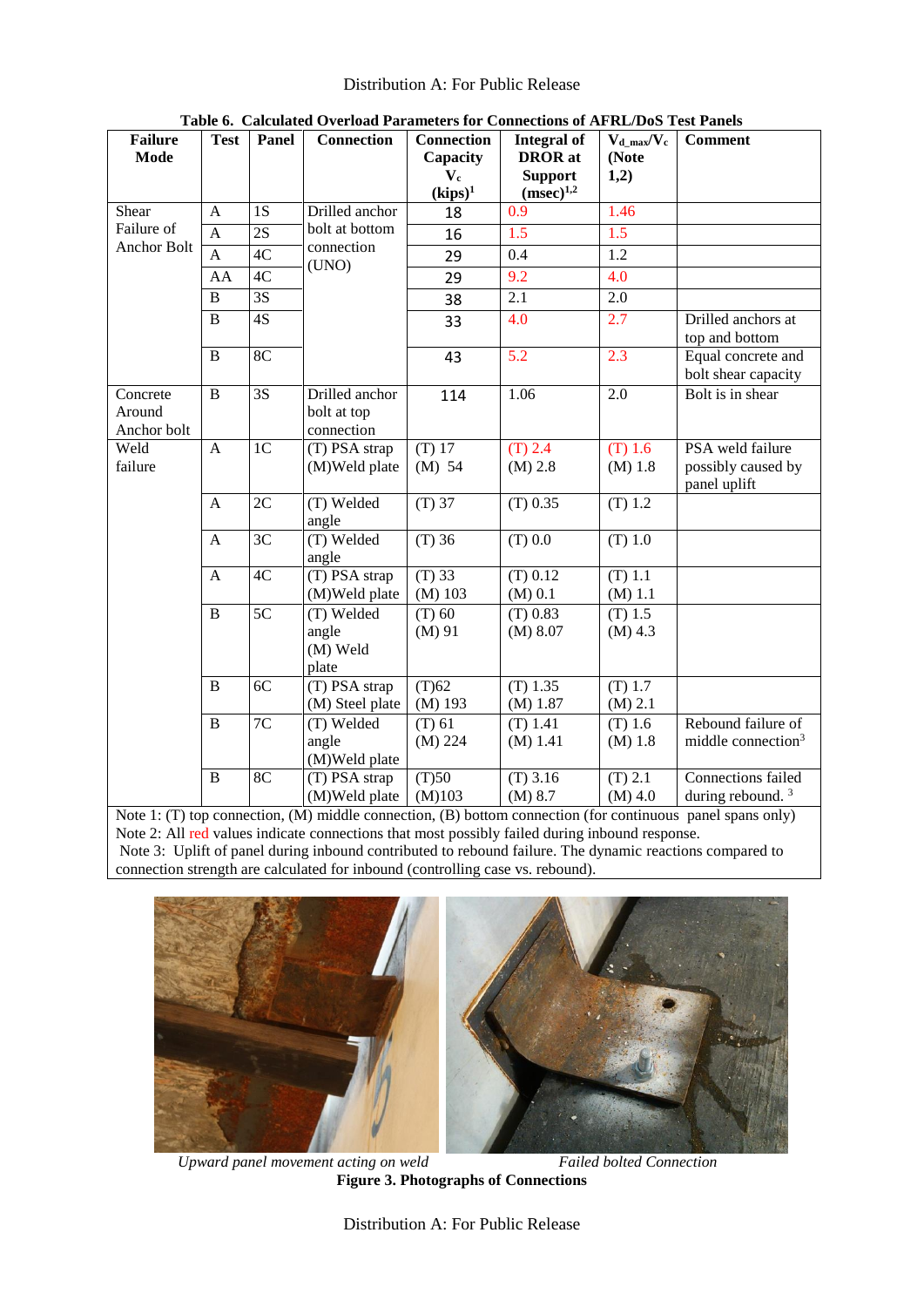<span id="page-7-0"></span>

| <b>Failure</b><br><b>Mode</b>     | <b>Test</b>    | Panel           | Connection                                  | Integral of<br><b>DROR</b> at | $V_{d\_max}/V_c$<br>(Note        | <b>Comment</b>         |                                                        |
|-----------------------------------|----------------|-----------------|---------------------------------------------|-------------------------------|----------------------------------|------------------------|--------------------------------------------------------|
|                                   |                |                 |                                             | $V_c$<br>$(kips)^1$           | <b>Support</b><br>$(msec)^{1,2}$ | 1,2)                   |                                                        |
| Shear                             | A              | 1S              | Drilled anchor                              | 18                            | 0.9                              | 1.46                   |                                                        |
| Failure of                        | A              | $\overline{2S}$ | bolt at bottom<br>connection<br>(UNO)       | 16                            | 1.5                              | $\overline{1.5}$       |                                                        |
| <b>Anchor Bolt</b>                | $\overline{A}$ | 4C              |                                             | 29                            | 0.4                              | 1.2                    |                                                        |
|                                   | AA             | 4C              |                                             | 29                            | 9.2                              | 4.0                    |                                                        |
|                                   | $\overline{B}$ | 3S              |                                             | 38                            | 2.1                              | 2.0                    |                                                        |
|                                   | B              | 4S              |                                             | 33                            | 4.0                              | 2.7                    | Drilled anchors at<br>top and bottom                   |
|                                   | $\bf{B}$       | 8C              |                                             | 43                            | 5.2                              | 2.3                    | Equal concrete and<br>bolt shear capacity              |
| Concrete<br>Around<br>Anchor bolt | $\overline{B}$ | $\overline{3S}$ | Drilled anchor<br>bolt at top<br>connection | 114                           | 1.06                             | $\overline{2.0}$       | Bolt is in shear                                       |
| Weld<br>failure                   | $\overline{A}$ | 1 <sub>C</sub>  | (T) PSA strap<br>(M)Weld plate              | $(T)$ 17<br>$(M)$ 54          | $(T)$ 2.4<br>(M) 2.8             | $(T)$ 1.6<br>(M) 1.8   | PSA weld failure<br>possibly caused by<br>panel uplift |
|                                   | $\mathbf{A}$   | 2C              | (T) Welded<br>angle                         | $(T)$ 37                      | $(T)$ 0.35                       | $(T)$ 1.2              |                                                        |
|                                   | $\mathbf{A}$   | 3C              | (T) Welded<br>angle                         | $(T)$ 36                      | (T) 0.0                          | $(T)$ 1.0              |                                                        |
|                                   | A              | 4C              | (T) PSA strap<br>(M)Weld plate              | $(T)$ 33<br>$(M)$ 103         | $(T)$ 0.12<br>(M) 0.1            | $(T)$ 1.1<br>(M) 1.1   |                                                        |
|                                   | $\overline{B}$ | $\overline{5C}$ | (T) Welded<br>angle<br>(M) Weld<br>plate    | $(T)$ 60<br>$(M)$ 91          | (T) 0.83<br>(M) 8.07             | $(T)$ 1.5<br>$(M)$ 4.3 |                                                        |
|                                   | $\bf{B}$       | 6C              | (T) PSA strap<br>(M) Steel plate            | (T)62<br>$(M)$ 193            | $(T)$ 1.35<br>(M) 1.87           | $(T)$ 1.7<br>(M) 2.1   |                                                        |
|                                   | B              | 7C              | (T) Welded<br>angle<br>(M)Weld plate        | $(T)$ 61<br>(M) 224           | $(T)$ 1.41<br>(M) 1.41           | $(T)$ 1.6<br>$(M)$ 1.8 | Rebound failure of<br>middle connection <sup>3</sup>   |
|                                   | $\bf{B}$       | 8C              | (T) PSA strap<br>(M)Weld plate<br>1.11      | (T)50<br>(M)103               | $(T)$ 3.16<br>(M) 8.7            | (T) 2.1<br>$(M)$ 4.0   | Connections failed<br>during rebound. $3$              |

**Table 6. Calculated Overload Parameters for Connections of AFRL/DoS Test Panels**

Note 1: (T) top connection, (M) middle connection, (B) bottom connection (for continuous panel spans only) Note 2: All red values indicate connections that most possibly failed during inbound response. Note 3: Uplift of panel during inbound contributed to rebound failure. The dynamic reactions compared to connection strength are calculated for inbound (controlling case vs. rebound).



*Upward panel movement acting on weld Failed bolted Connection* **Figure 3. Photographs of Connections**

<span id="page-7-1"></span>Distribution A: For Public Release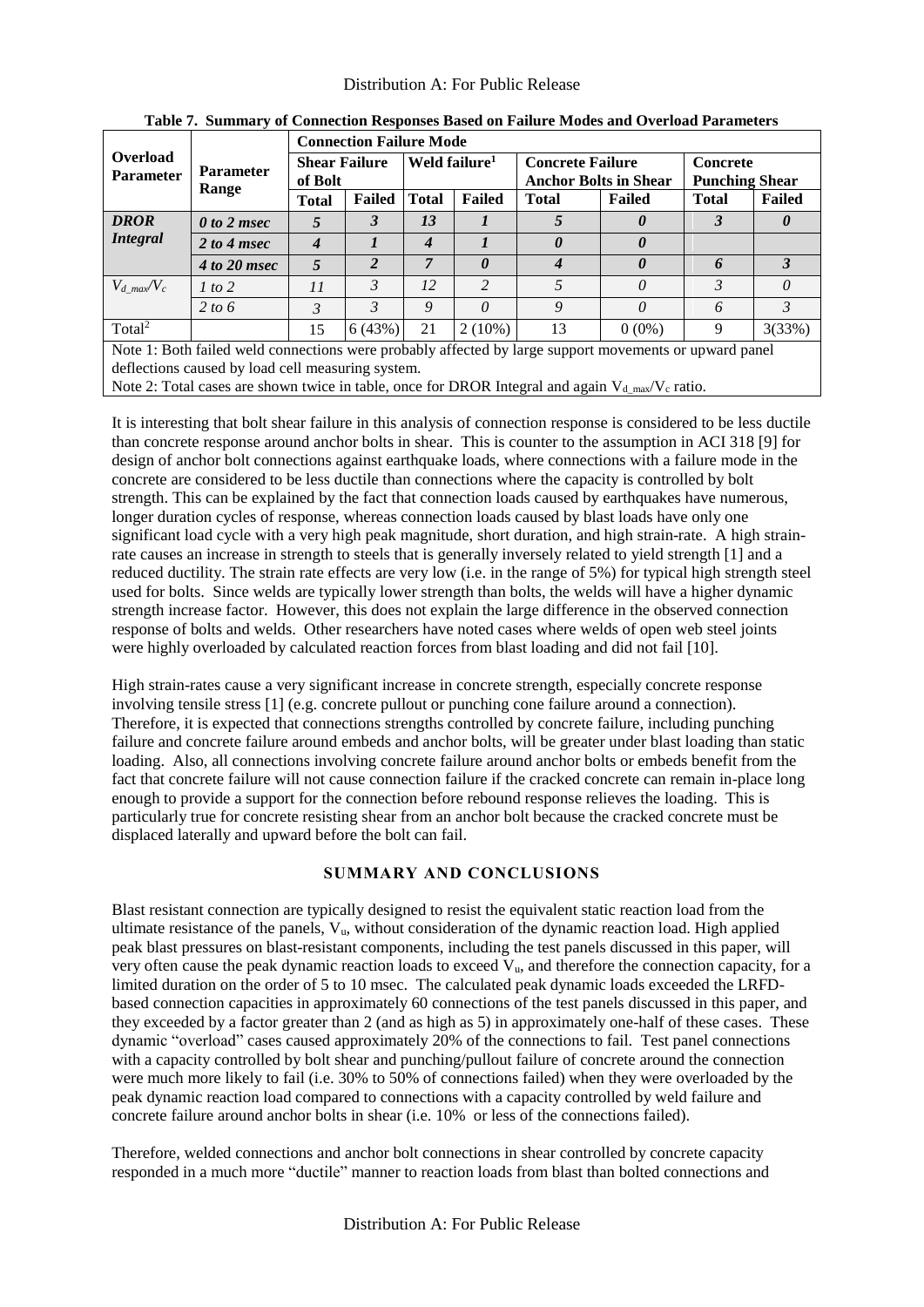<span id="page-8-0"></span>

|                    |                                                                                                        |                                 | <b>Connection Failure Mode</b> |                           |                       |                              |                       |                       |               |  |  |
|--------------------|--------------------------------------------------------------------------------------------------------|---------------------------------|--------------------------------|---------------------------|-----------------------|------------------------------|-----------------------|-----------------------|---------------|--|--|
| Overload           | <b>Parameter</b>                                                                                       | <b>Shear Failure</b><br>of Bolt |                                | Weld failure <sup>1</sup> |                       | <b>Concrete Failure</b>      |                       | <b>Concrete</b>       |               |  |  |
| <b>Parameter</b>   | Range                                                                                                  |                                 |                                |                           |                       | <b>Anchor Bolts in Shear</b> |                       | <b>Punching Shear</b> |               |  |  |
|                    |                                                                                                        | <b>Total</b>                    | Failed                         | <b>Total</b>              | <b>Failed</b>         | <b>Total</b>                 | Failed                | <b>Total</b>          | <b>Failed</b> |  |  |
| <b>DROR</b>        | $\theta$ to 2 msec                                                                                     | 5                               | 3                              | 13                        |                       |                              | $\boldsymbol{\theta}$ | 3                     |               |  |  |
| Integral           | 2 to 4 msec                                                                                            | 4                               |                                | $\boldsymbol{4}$          |                       | 0                            | $\boldsymbol{\theta}$ |                       |               |  |  |
|                    | $4 to 20$ msec                                                                                         | 5                               | 2                              | 7                         | $\boldsymbol{\theta}$ | 4                            | $\boldsymbol{\theta}$ | 6                     | 3             |  |  |
| $V_d$ max $V_c$    | 1 to 2                                                                                                 | 11                              | 3                              | 12                        | $\overline{c}$        | 5                            | $\theta$              | 3                     | $\theta$      |  |  |
|                    | 2 to 6                                                                                                 | 3                               | 3                              | 9                         | $\theta$              | 9                            | $\theta$              | 6                     | 3             |  |  |
| Total <sup>2</sup> |                                                                                                        | 15                              | 6(43%)                         | 21                        | $2(10\%)$             | 13                           | $0(0\%)$              | 9                     | 3(33%)        |  |  |
|                    | Note 1: Both failed weld connections were probably affected by large support movements or upward panel |                                 |                                |                           |                       |                              |                       |                       |               |  |  |
|                    | deflections caused by load cell measuring system.                                                      |                                 |                                |                           |                       |                              |                       |                       |               |  |  |
|                    | Note 2: Total cases are shown twice in table, once for DROR Integral and again $V_{d max}/V_c$ ratio.  |                                 |                                |                           |                       |                              |                       |                       |               |  |  |

**Table 7. Summary of Connection Responses Based on Failure Modes and Overload Parameters**

It is interesting that bolt shear failure in this analysis of connection response is considered to be less ductile than concrete response around anchor bolts in shear. This is counter to the assumption in ACI 318 [9] for design of anchor bolt connections against earthquake loads, where connections with a failure mode in the concrete are considered to be less ductile than connections where the capacity is controlled by bolt strength. This can be explained by the fact that connection loads caused by earthquakes have numerous, longer duration cycles of response, whereas connection loads caused by blast loads have only one significant load cycle with a very high peak magnitude, short duration, and high strain-rate. A high strainrate causes an increase in strength to steels that is generally inversely related to yield strength [1] and a reduced ductility. The strain rate effects are very low (i.e. in the range of 5%) for typical high strength steel used for bolts. Since welds are typically lower strength than bolts, the welds will have a higher dynamic strength increase factor. However, this does not explain the large difference in the observed connection response of bolts and welds. Other researchers have noted cases where welds of open web steel joints were highly overloaded by calculated reaction forces from blast loading and did not fail [10].

High strain-rates cause a very significant increase in concrete strength, especially concrete response involving tensile stress [1] (e.g. concrete pullout or punching cone failure around a connection). Therefore, it is expected that connections strengths controlled by concrete failure, including punching failure and concrete failure around embeds and anchor bolts, will be greater under blast loading than static loading. Also, all connections involving concrete failure around anchor bolts or embeds benefit from the fact that concrete failure will not cause connection failure if the cracked concrete can remain in-place long enough to provide a support for the connection before rebound response relieves the loading. This is particularly true for concrete resisting shear from an anchor bolt because the cracked concrete must be displaced laterally and upward before the bolt can fail.

# **SUMMARY AND CONCLUSIONS**

Blast resistant connection are typically designed to resist the equivalent static reaction load from the ultimate resistance of the panels,  $V_u$ , without consideration of the dynamic reaction load. High applied peak blast pressures on blast-resistant components, including the test panels discussed in this paper, will very often cause the peak dynamic reaction loads to exceed  $V_{\mu}$ , and therefore the connection capacity, for a limited duration on the order of 5 to 10 msec. The calculated peak dynamic loads exceeded the LRFDbased connection capacities in approximately 60 connections of the test panels discussed in this paper, and they exceeded by a factor greater than 2 (and as high as 5) in approximately one-half of these cases. These dynamic "overload" cases caused approximately 20% of the connections to fail. Test panel connections with a capacity controlled by bolt shear and punching/pullout failure of concrete around the connection were much more likely to fail (i.e. 30% to 50% of connections failed) when they were overloaded by the peak dynamic reaction load compared to connections with a capacity controlled by weld failure and concrete failure around anchor bolts in shear (i.e. 10% or less of the connections failed).

Therefore, welded connections and anchor bolt connections in shear controlled by concrete capacity responded in a much more "ductile" manner to reaction loads from blast than bolted connections and